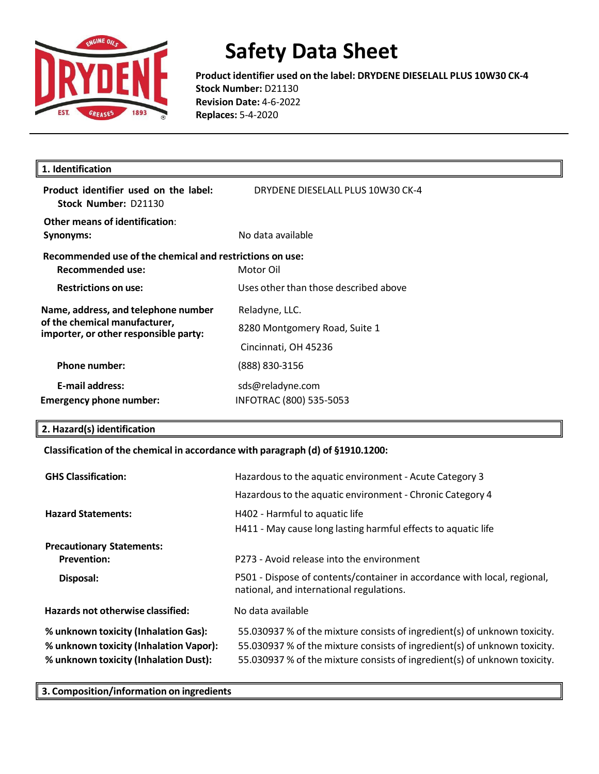

**Product identifier used on the label: DRYDENE DIESELALL PLUS 10W30 CK-4 Stock Number:** D21130 **Revision Date:** 4-6-2022 **Replaces:** 5-4-2020

| 1. Identification                                                                                             |                                                                         |  |
|---------------------------------------------------------------------------------------------------------------|-------------------------------------------------------------------------|--|
| Product identifier used on the label:<br>Stock Number: D21130                                                 | DRYDENE DIESELALL PLUS 10W30 CK-4                                       |  |
| Other means of identification:<br>Synonyms:                                                                   | No data available                                                       |  |
| Recommended use of the chemical and restrictions on use:<br>Recommended use:                                  | Motor Oil                                                               |  |
| <b>Restrictions on use:</b>                                                                                   | Uses other than those described above                                   |  |
| Name, address, and telephone number<br>of the chemical manufacturer,<br>importer, or other responsible party: | Reladyne, LLC.<br>8280 Montgomery Road, Suite 1<br>Cincinnati, OH 45236 |  |
| <b>Phone number:</b>                                                                                          | (888) 830-3156                                                          |  |
| <b>E-mail address:</b><br><b>Emergency phone number:</b>                                                      | sds@reladyne.com<br>INFOTRAC (800) 535-5053                             |  |

#### **2. Hazard(s) identification**

### **Classification of the chemical in accordance with paragraph (d) of §1910.1200:**

| <b>GHS Classification:</b>                                                                                              | Hazardous to the aquatic environment - Acute Category 3                                                                                                                                                                             |  |
|-------------------------------------------------------------------------------------------------------------------------|-------------------------------------------------------------------------------------------------------------------------------------------------------------------------------------------------------------------------------------|--|
|                                                                                                                         | Hazardous to the aquatic environment - Chronic Category 4                                                                                                                                                                           |  |
| <b>Hazard Statements:</b>                                                                                               | H402 - Harmful to aquatic life                                                                                                                                                                                                      |  |
|                                                                                                                         | H411 - May cause long lasting harmful effects to aquatic life                                                                                                                                                                       |  |
| <b>Precautionary Statements:</b>                                                                                        |                                                                                                                                                                                                                                     |  |
| <b>Prevention:</b>                                                                                                      | P273 - Avoid release into the environment                                                                                                                                                                                           |  |
| Disposal:                                                                                                               | P501 - Dispose of contents/container in accordance with local, regional,<br>national, and international regulations.                                                                                                                |  |
| Hazards not otherwise classified:                                                                                       | No data available                                                                                                                                                                                                                   |  |
| % unknown toxicity (Inhalation Gas):<br>% unknown toxicity (Inhalation Vapor):<br>% unknown toxicity (Inhalation Dust): | 55.030937 % of the mixture consists of ingredient(s) of unknown toxicity.<br>55.030937 % of the mixture consists of ingredient(s) of unknown toxicity.<br>55.030937 % of the mixture consists of ingredient(s) of unknown toxicity. |  |

**3. Composition/information on ingredients**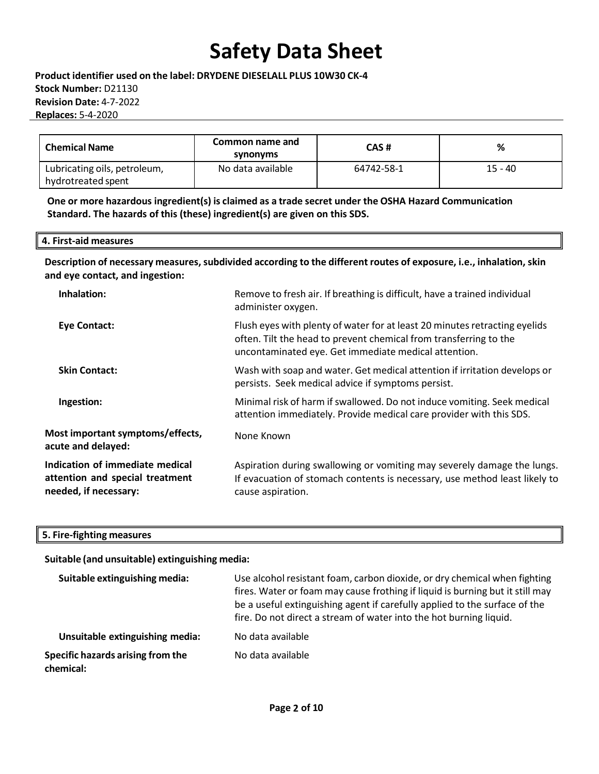**Product identifier used on the label: DRYDENE DIESELALL PLUS 10W30 CK-4 Stock Number:** D21130 **Revision Date:** 4-7-2022 **Replaces:** 5-4-2020

| <b>Chemical Name</b>                               | Common name and<br>synonyms | CAS#       | %         |
|----------------------------------------------------|-----------------------------|------------|-----------|
| Lubricating oils, petroleum,<br>hydrotreated spent | No data available           | 64742-58-1 | $15 - 40$ |

**One or more hazardous ingredient(s) is claimed as a trade secret under the OSHA Hazard Communication Standard. The hazards of this (these) ingredient(s) are given on this SDS.**

| 4. First-aid measures |  |
|-----------------------|--|
|-----------------------|--|

**Description of necessary measures,subdivided according to the different routes of exposure, i.e., inhalation, skin and eye contact, and ingestion:**

| Inhalation:                                                                                 | Remove to fresh air. If breathing is difficult, have a trained individual<br>administer oxygen.                                                                                                         |  |
|---------------------------------------------------------------------------------------------|---------------------------------------------------------------------------------------------------------------------------------------------------------------------------------------------------------|--|
| <b>Eye Contact:</b>                                                                         | Flush eyes with plenty of water for at least 20 minutes retracting eyelids<br>often. Tilt the head to prevent chemical from transferring to the<br>uncontaminated eye. Get immediate medical attention. |  |
| <b>Skin Contact:</b>                                                                        | Wash with soap and water. Get medical attention if irritation develops or<br>persists. Seek medical advice if symptoms persist.                                                                         |  |
| Ingestion:                                                                                  | Minimal risk of harm if swallowed. Do not induce vomiting. Seek medical<br>attention immediately. Provide medical care provider with this SDS.                                                          |  |
| Most important symptoms/effects,<br>acute and delayed:                                      | None Known                                                                                                                                                                                              |  |
| Indication of immediate medical<br>attention and special treatment<br>needed, if necessary: | Aspiration during swallowing or vomiting may severely damage the lungs.<br>If evacuation of stomach contents is necessary, use method least likely to<br>cause aspiration.                              |  |

### **5. Fire-fighting measures**

### **Suitable (and unsuitable) extinguishing media:**

| Suitable extinguishing media:                  | Use alcohol resistant foam, carbon dioxide, or dry chemical when fighting<br>fires. Water or foam may cause frothing if liquid is burning but it still may<br>be a useful extinguishing agent if carefully applied to the surface of the<br>fire. Do not direct a stream of water into the hot burning liquid. |
|------------------------------------------------|----------------------------------------------------------------------------------------------------------------------------------------------------------------------------------------------------------------------------------------------------------------------------------------------------------------|
| Unsuitable extinguishing media:                | No data available                                                                                                                                                                                                                                                                                              |
| Specific hazards arising from the<br>chemical: | No data available                                                                                                                                                                                                                                                                                              |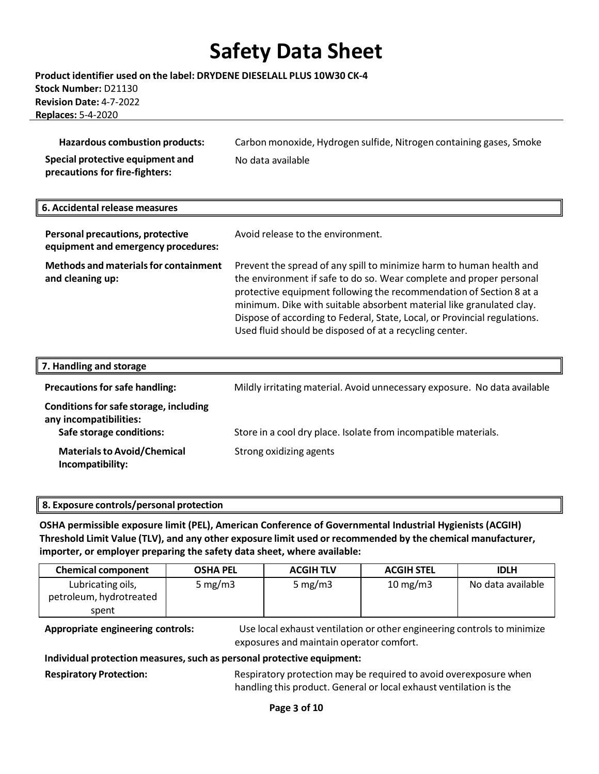#### **Product identifier used on the label: DRYDENE DIESELALL PLUS 10W30 CK-4 Stock Number:** D21130 **Revision Date:** 4-7-2022 **Replaces:** 5-4-2020

| Hazardous combustion products:   | Carbon monoxide, Hydrogen sulfide, Nitrogen containing gases, Smoke |
|----------------------------------|---------------------------------------------------------------------|
| Special protective equipment and | No data available                                                   |
| precautions for fire-fighters:   |                                                                     |

| 6. Accidental release measures                                          |                                                                                                                                                                                                                                                                                                                                                                                                                                    |
|-------------------------------------------------------------------------|------------------------------------------------------------------------------------------------------------------------------------------------------------------------------------------------------------------------------------------------------------------------------------------------------------------------------------------------------------------------------------------------------------------------------------|
| Personal precautions, protective<br>equipment and emergency procedures: | Avoid release to the environment.                                                                                                                                                                                                                                                                                                                                                                                                  |
| <b>Methods and materials for containment</b><br>and cleaning up:        | Prevent the spread of any spill to minimize harm to human health and<br>the environment if safe to do so. Wear complete and proper personal<br>protective equipment following the recommendation of Section 8 at a<br>minimum. Dike with suitable absorbent material like granulated clay.<br>Dispose of according to Federal, State, Local, or Provincial regulations.<br>Used fluid should be disposed of at a recycling center. |

| 7. Handling and storage                                                                      |                                                                           |
|----------------------------------------------------------------------------------------------|---------------------------------------------------------------------------|
| <b>Precautions for safe handling:</b>                                                        | Mildly irritating material. Avoid unnecessary exposure. No data available |
| Conditions for safe storage, including<br>any incompatibilities:<br>Safe storage conditions: | Store in a cool dry place. Isolate from incompatible materials.           |
| <b>Materials to Avoid/Chemical</b><br>Incompatibility:                                       | Strong oxidizing agents                                                   |

### **8. Exposure controls/personal protection**

**OSHA permissible exposure limit (PEL), American Conference of Governmental Industrial Hygienists (ACGIH) Threshold Limit Value (TLV), and any other exposure limit used or recommended by the chemical manufacturer, importer, or employer preparing the safety data sheet, where available:**

| <b>Chemical component</b>                    | <b>OSHA PEL</b> | <b>ACGIH TLV</b> | <b>ACGIH STEL</b> | <b>IDLH</b>       |
|----------------------------------------------|-----------------|------------------|-------------------|-------------------|
| Lubricating oils,<br>petroleum, hydrotreated | 5 mg/m $3$      | 5 mg/m $3$       | $10 \text{ mg/m}$ | No data available |
| spent                                        |                 |                  |                   |                   |

**Appropriate engineering controls:** Use local exhaust ventilation or other engineering controls to minimize exposures and maintain operator comfort.

**Individual protection measures,such as personal protective equipment:**

**Respiratory Protection:** Respiratory protection may be required to avoid overexposure when handling this product. General or local exhaust ventilation is the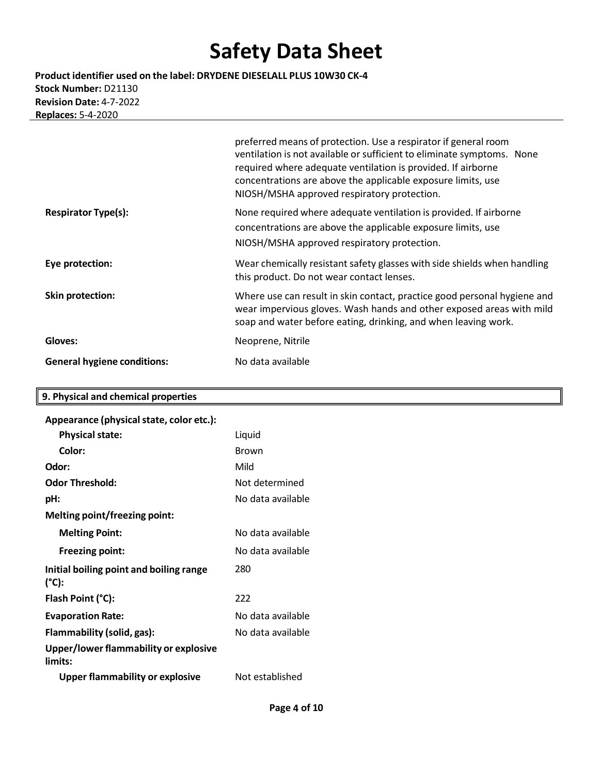**Product identifier used on the label: DRYDENE DIESELALL PLUS 10W30 CK-4 Stock Number:** D21130 **Revision Date:** 4-7-2022 **Replaces:** 5-4-2020

|                                    | preferred means of protection. Use a respirator if general room<br>ventilation is not available or sufficient to eliminate symptoms. None<br>required where adequate ventilation is provided. If airborne<br>concentrations are above the applicable exposure limits, use<br>NIOSH/MSHA approved respiratory protection. |
|------------------------------------|--------------------------------------------------------------------------------------------------------------------------------------------------------------------------------------------------------------------------------------------------------------------------------------------------------------------------|
| <b>Respirator Type(s):</b>         | None required where adequate ventilation is provided. If airborne<br>concentrations are above the applicable exposure limits, use<br>NIOSH/MSHA approved respiratory protection.                                                                                                                                         |
| Eye protection:                    | Wear chemically resistant safety glasses with side shields when handling<br>this product. Do not wear contact lenses.                                                                                                                                                                                                    |
| <b>Skin protection:</b>            | Where use can result in skin contact, practice good personal hygiene and<br>wear impervious gloves. Wash hands and other exposed areas with mild<br>soap and water before eating, drinking, and when leaving work.                                                                                                       |
| Gloves:                            | Neoprene, Nitrile                                                                                                                                                                                                                                                                                                        |
| <b>General hygiene conditions:</b> | No data available                                                                                                                                                                                                                                                                                                        |

### **9. Physical and chemical properties**

| Appearance (physical state, color etc.):                   |                   |
|------------------------------------------------------------|-------------------|
| <b>Physical state:</b>                                     | Liquid            |
| Color:                                                     | <b>Brown</b>      |
| Odor:                                                      | Mild              |
| <b>Odor Threshold:</b>                                     | Not determined    |
| pH:                                                        | No data available |
| Melting point/freezing point:                              |                   |
| <b>Melting Point:</b>                                      | No data available |
| <b>Freezing point:</b>                                     | No data available |
| Initial boiling point and boiling range<br>$(^{\circ}C)$ : | 280               |
| Flash Point (°C):                                          | 222               |
| <b>Evaporation Rate:</b>                                   | No data available |
| Flammability (solid, gas):                                 | No data available |
| Upper/lower flammability or explosive<br>limits:           |                   |
| <b>Upper flammability or explosive</b>                     | Not established   |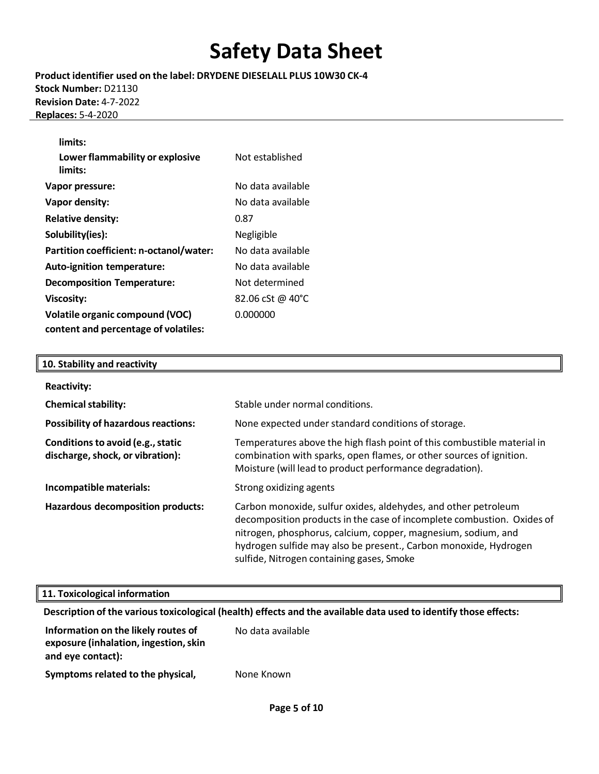**Product identifier used on the label: DRYDENE DIESELALL PLUS 10W30 CK-4 Stock Number:** D21130 **Revision Date:** 4-7-2022 **Replaces:** 5-4-2020

| limits:                                 |                   |
|-----------------------------------------|-------------------|
| Lower flammability or explosive         | Not established   |
| limits:                                 |                   |
| Vapor pressure:                         | No data available |
| Vapor density:                          | No data available |
| <b>Relative density:</b>                | 0.87              |
| Solubility(ies):                        | Negligible        |
| Partition coefficient: n-octanol/water: | No data available |
| <b>Auto-ignition temperature:</b>       | No data available |
| <b>Decomposition Temperature:</b>       | Not determined    |
| <b>Viscosity:</b>                       | 82.06 cSt @ 40°C  |
| <b>Volatile organic compound (VOC)</b>  | 0.000000          |
| content and percentage of volatiles:    |                   |

#### **10. Stability and reactivity**

| <b>Reactivity:</b>                                                    |                                                                                                                                                                                                                                                                                                                            |
|-----------------------------------------------------------------------|----------------------------------------------------------------------------------------------------------------------------------------------------------------------------------------------------------------------------------------------------------------------------------------------------------------------------|
| <b>Chemical stability:</b>                                            | Stable under normal conditions.                                                                                                                                                                                                                                                                                            |
| <b>Possibility of hazardous reactions:</b>                            | None expected under standard conditions of storage.                                                                                                                                                                                                                                                                        |
| Conditions to avoid (e.g., static<br>discharge, shock, or vibration): | Temperatures above the high flash point of this combustible material in<br>combination with sparks, open flames, or other sources of ignition.<br>Moisture (will lead to product performance degradation).                                                                                                                 |
| Incompatible materials:                                               | Strong oxidizing agents                                                                                                                                                                                                                                                                                                    |
| <b>Hazardous decomposition products:</b>                              | Carbon monoxide, sulfur oxides, aldehydes, and other petroleum<br>decomposition products in the case of incomplete combustion. Oxides of<br>nitrogen, phosphorus, calcium, copper, magnesium, sodium, and<br>hydrogen sulfide may also be present., Carbon monoxide, Hydrogen<br>sulfide, Nitrogen containing gases, Smoke |

#### **11. Toxicological information**

**Description of the varioustoxicological (health) effects and the available data used to identify those effects:**

| Information on the likely routes of<br>exposure (inhalation, ingestion, skin<br>and eye contact): | No data available |
|---------------------------------------------------------------------------------------------------|-------------------|
| Symptoms related to the physical,                                                                 | None Known        |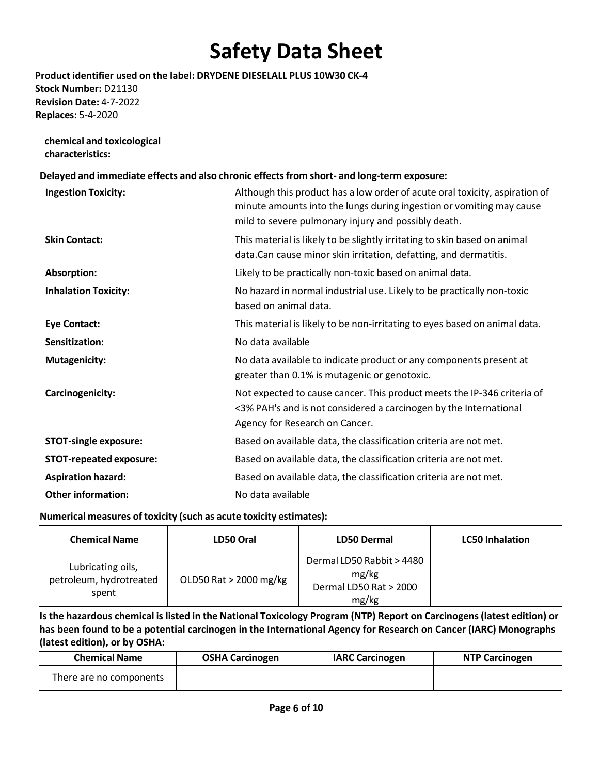**Product identifier used on the label: DRYDENE DIESELALL PLUS 10W30 CK-4 Stock Number:** D21130 **Revision Date:** 4-7-2022 **Replaces:** 5-4-2020

### **chemical and toxicological characteristics: Delayed and immediate effects and also chronic effectsfrom short- and long-term exposure: Ingestion Toxicity:** Although this product has a low order of acute oral toxicity, aspiration of minute amounts into the lungs during ingestion or vomiting may cause mild to severe pulmonary injury and possibly death. **Skin Contact:** This material is likely to be slightly irritating to skin based on animal data.Can cause minor skin irritation, defatting, and dermatitis. **Absorption:** Likely to be practically non-toxic based on animal data. **Inhalation Toxicity:** No hazard in normal industrial use. Likely to be practically non-toxic based on animal data. **Eye Contact:** This material is likely to be non-irritating to eyes based on animal data. **Sensitization:** No data available **Mutagenicity:** Mo data available to indicate product or any components present at greater than 0.1% is mutagenic or genotoxic. **Carcinogenicity:** Not expected to cause cancer. This product meets the IP-346 criteria of <3% PAH's and is not considered a carcinogen by the International Agency for Research on Cancer. **STOT-single exposure:** Based on available data, the classification criteria are not met. **STOT-repeated exposure:** Based on available data, the classification criteria are not met. **Aspiration hazard:** Based on available data, the classification criteria are not met. **Other information:** No data available

#### **Numerical measures of toxicity (such as acute toxicity estimates):**

| <b>Chemical Name</b>                                  | LD50 Oral              | LD50 Dermal                                                           | <b>LC50 Inhalation</b> |
|-------------------------------------------------------|------------------------|-----------------------------------------------------------------------|------------------------|
| Lubricating oils,<br>petroleum, hydrotreated<br>spent | OLD50 Rat > 2000 mg/kg | Dermal LD50 Rabbit > 4480<br>mg/kg<br>Dermal LD50 Rat > 2000<br>mg/kg |                        |

Is the hazardous chemical is listed in the National Toxicology Program (NTP) Report on Carcinogens (latest edition) or **has been found to be a potential carcinogen in the International Agency for Research on Cancer (IARC) Monographs (latest edition), or by OSHA:**

| <b>Chemical Name</b>    | <b>OSHA Carcinogen</b> | <b>IARC Carcinogen</b> | <b>NTP Carcinogen</b> |
|-------------------------|------------------------|------------------------|-----------------------|
| There are no components |                        |                        |                       |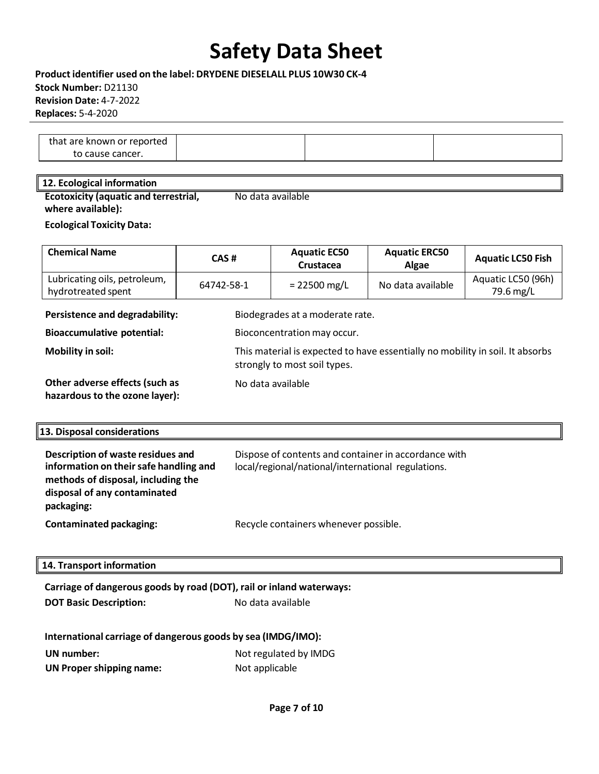**Product identifier used on the label: DRYDENE DIESELALL PLUS 10W30 CK-4 Stock Number:** D21130 **Revision Date:** 4-7-2022 **Replaces:** 5-4-2020

| that are known or reported |  |  |
|----------------------------|--|--|
| to cause cancer.           |  |  |

#### **12. Ecological information**

**Ecotoxicity (aquatic and terrestrial, where available):**  No data available

**Ecological Toxicity Data:**

| <b>Chemical Name</b>                                              | CAS#                        | <b>Aquatic EC50</b><br>Crustacea                                                                              | <b>Aquatic ERC50</b><br>Algae | <b>Aquatic LC50 Fish</b>        |
|-------------------------------------------------------------------|-----------------------------|---------------------------------------------------------------------------------------------------------------|-------------------------------|---------------------------------|
| Lubricating oils, petroleum,<br>hydrotreated spent                | 64742-58-1                  | $= 22500$ mg/L                                                                                                | No data available             | Aquatic LC50 (96h)<br>79.6 mg/L |
| Persistence and degradability:<br>Biodegrades at a moderate rate. |                             |                                                                                                               |                               |                                 |
| <b>Bioaccumulative potential:</b>                                 | Bioconcentration may occur. |                                                                                                               |                               |                                 |
| <b>Mobility in soil:</b>                                          |                             | This material is expected to have essentially no mobility in soil. It absorbs<br>strongly to most soil types. |                               |                                 |
| Other adverse effects (such as<br>hazardous to the ozone layer):  |                             | No data available                                                                                             |                               |                                 |
| 13. Disnosal considerations                                       |                             |                                                                                                               |                               |                                 |

|  | 13. Disposal considerations |  |
|--|-----------------------------|--|
|  |                             |  |

| Description of waste residues and<br>information on their safe handling and<br>methods of disposal, including the<br>disposal of any contaminated<br>packaging: | Dispose of contents and container in accordance with<br>local/regional/national/international regulations. |
|-----------------------------------------------------------------------------------------------------------------------------------------------------------------|------------------------------------------------------------------------------------------------------------|
| <b>Contaminated packaging:</b>                                                                                                                                  | Recycle containers whenever possible.                                                                      |

#### **14. Transport information**

### **Carriage of dangerous goods by road (DOT), rail or inland waterways:**

**DOT Basic Description:** No data available

| International carriage of dangerous goods by sea (IMDG/IMO): |
|--------------------------------------------------------------|
|--------------------------------------------------------------|

| UN number:                      | Not regulated by IMDG |
|---------------------------------|-----------------------|
| <b>UN Proper shipping name:</b> | Not applicable        |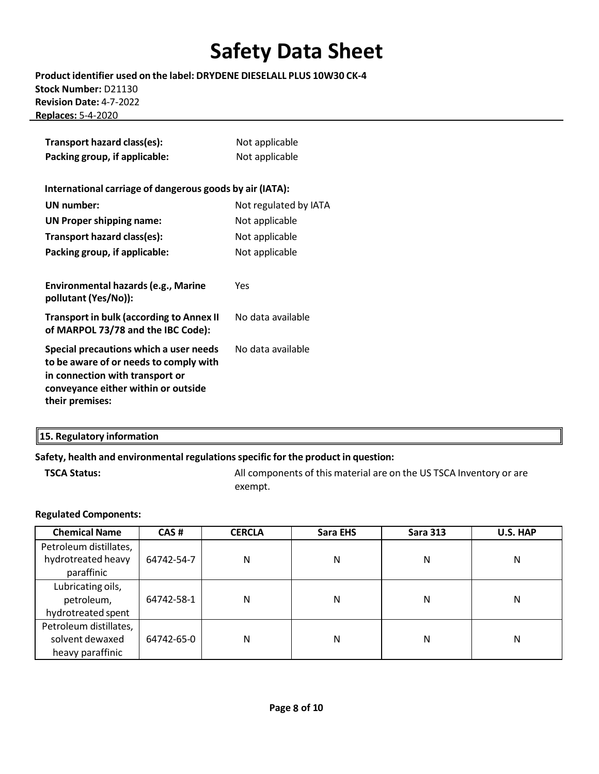**Product identifier used on the label: DRYDENE DIESELALL PLUS 10W30 CK-4 Stock Number:** D21130 **Revision Date:** 4-7-2022 **Replaces:** 5-4-2020

| Transport hazard class(es):<br>Packing group, if applicable:                                                                                                                  | Not applicable<br>Not applicable |
|-------------------------------------------------------------------------------------------------------------------------------------------------------------------------------|----------------------------------|
| International carriage of dangerous goods by air (IATA):                                                                                                                      |                                  |
| UN number:                                                                                                                                                                    | Not regulated by IATA            |
| <b>UN Proper shipping name:</b>                                                                                                                                               | Not applicable                   |
| Transport hazard class(es):                                                                                                                                                   | Not applicable                   |
| Packing group, if applicable:                                                                                                                                                 | Not applicable                   |
| Environmental hazards (e.g., Marine<br>pollutant (Yes/No)):<br><b>Transport in bulk (according to Annex II</b>                                                                | Yes<br>No data available         |
| of MARPOL 73/78 and the IBC Code):                                                                                                                                            |                                  |
| Special precautions which a user needs<br>to be aware of or needs to comply with<br>in connection with transport or<br>conveyance either within or outside<br>their premises: | No data available                |

| 15. Regulatory information |  |  |  |  |  |
|----------------------------|--|--|--|--|--|
|----------------------------|--|--|--|--|--|

### **Safety, health and environmental regulationsspecific for the product in question:**

**TSCA Status:** All components of this material are on the US TSCA Inventory or are exempt.

#### **Regulated Components:**

| <b>Chemical Name</b>   | CAS#       | <b>CERCLA</b> | Sara EHS | <b>Sara 313</b> | U.S. HAP |
|------------------------|------------|---------------|----------|-----------------|----------|
| Petroleum distillates, |            |               |          |                 |          |
| hydrotreated heavy     | 64742-54-7 | N             | N        | Ν               | N        |
| paraffinic             |            |               |          |                 |          |
| Lubricating oils,      |            |               |          |                 |          |
| petroleum,             | 64742-58-1 | Ν             | N        | Ν               | N        |
| hydrotreated spent     |            |               |          |                 |          |
| Petroleum distillates, |            |               |          |                 |          |
| solvent dewaxed        | 64742-65-0 | Ν             | N        | Ν               | N        |
| heavy paraffinic       |            |               |          |                 |          |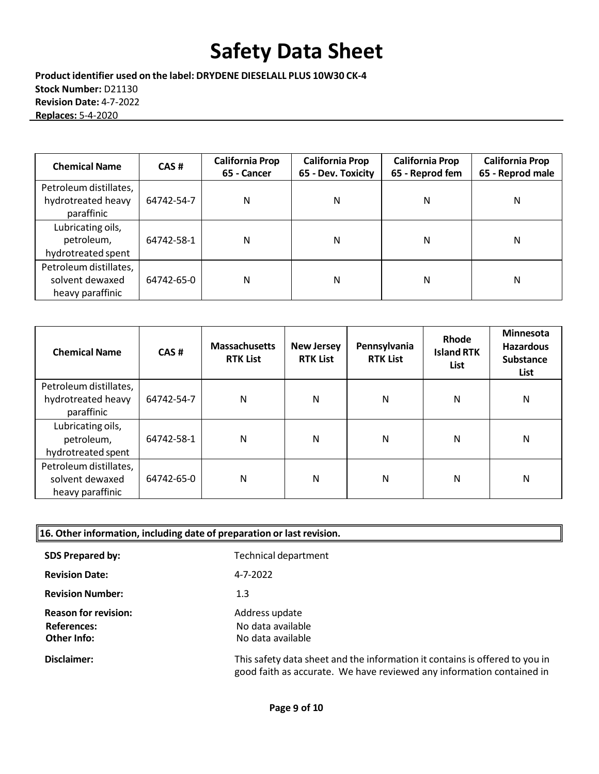**Product identifier used on the label: DRYDENE DIESELALL PLUS 10W30 CK-4 Stock Number:** D21130 **Revision Date:** 4-7-2022 **Replaces:** 5-4-2020

| <b>Chemical Name</b>                                          | CAS#       | <b>California Prop</b><br>65 - Cancer | <b>California Prop</b><br>65 - Dev. Toxicity | <b>California Prop</b><br>65 - Reprod fem | <b>California Prop</b><br>65 - Reprod male |
|---------------------------------------------------------------|------------|---------------------------------------|----------------------------------------------|-------------------------------------------|--------------------------------------------|
| Petroleum distillates,<br>hydrotreated heavy<br>paraffinic    | 64742-54-7 | Ν                                     | N                                            | Ν                                         | Ν                                          |
| Lubricating oils,<br>petroleum,<br>hydrotreated spent         | 64742-58-1 | Ν                                     | N                                            | Ν                                         | Ν                                          |
| Petroleum distillates,<br>solvent dewaxed<br>heavy paraffinic | 64742-65-0 | Ν                                     | N                                            | Ν                                         | Ν                                          |

| <b>Chemical Name</b>   | CAS#       | <b>Massachusetts</b><br><b>RTK List</b> | <b>New Jersey</b><br><b>RTK List</b> | Pennsylvania<br><b>RTK List</b> | Rhode<br><b>Island RTK</b><br>List | Minnesota<br><b>Hazardous</b><br><b>Substance</b><br>List |
|------------------------|------------|-----------------------------------------|--------------------------------------|---------------------------------|------------------------------------|-----------------------------------------------------------|
| Petroleum distillates, |            |                                         |                                      |                                 |                                    |                                                           |
| hydrotreated heavy     | 64742-54-7 | Ν                                       | N                                    | N                               | N                                  | N                                                         |
| paraffinic             |            |                                         |                                      |                                 |                                    |                                                           |
| Lubricating oils,      |            |                                         |                                      |                                 |                                    |                                                           |
| petroleum,             | 64742-58-1 | N                                       | N                                    | N                               | N                                  | N                                                         |
| hydrotreated spent     |            |                                         |                                      |                                 |                                    |                                                           |
| Petroleum distillates, |            |                                         |                                      |                                 |                                    |                                                           |
| solvent dewaxed        | 64742-65-0 | N                                       | N                                    | N                               | N                                  | N                                                         |
| heavy paraffinic       |            |                                         |                                      |                                 |                                    |                                                           |

| $\parallel$ 16. Other information, including date of preparation or last revision. |                                                                                                                                                      |  |  |  |  |
|------------------------------------------------------------------------------------|------------------------------------------------------------------------------------------------------------------------------------------------------|--|--|--|--|
| <b>SDS Prepared by:</b>                                                            | Technical department                                                                                                                                 |  |  |  |  |
| <b>Revision Date:</b>                                                              | 4-7-2022                                                                                                                                             |  |  |  |  |
| <b>Revision Number:</b>                                                            | 1.3                                                                                                                                                  |  |  |  |  |
| <b>Reason for revision:</b><br><b>References:</b><br>Other Info:                   | Address update<br>No data available<br>No data available                                                                                             |  |  |  |  |
| Disclaimer:                                                                        | This safety data sheet and the information it contains is offered to you in<br>good faith as accurate. We have reviewed any information contained in |  |  |  |  |